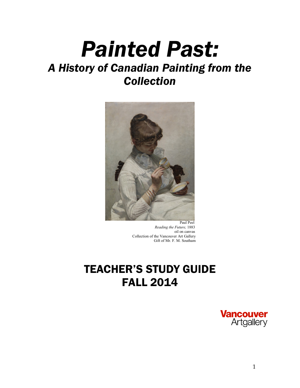# *Painted Past: A History of Canadian Painting from the Collection*



 *Reading the Future,* 1883 oil on canvas Collection of the Vancouver Art Gallery Gift of Mr. F. M. Southam

# TEACHER'S STUDY GUIDE FALL 2014

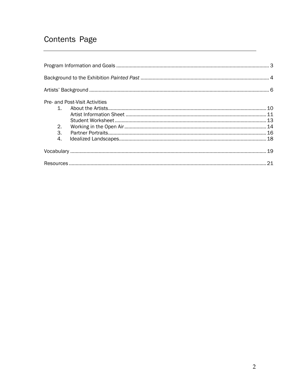## Contents Page

| Pre- and Post-Visit Activities |  |
|--------------------------------|--|
| $\mathbf{1}$                   |  |
|                                |  |
|                                |  |
| 2.                             |  |
| 3.                             |  |
| 4.                             |  |
|                                |  |
|                                |  |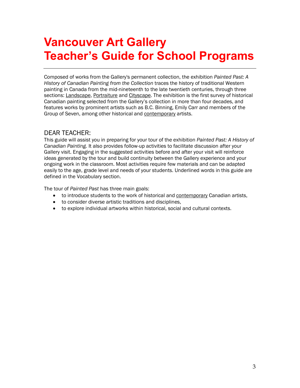# **Vancouver Art Gallery Teacher's Guide for School Programs**

Composed of works from the Gallery's permanent collection, the exhibition *Painted Past: A History of Canadian Painting from the Collection* traces the history of traditional Western painting in Canada from the mid-nineteenth to the late twentieth centuries, through three sections: Landscape, Portraiture and Cityscape. The exhibition is the first survey of historical Canadian painting selected from the Gallery's collection in more than four decades, and features works by prominent artists such as B.C. Binning, Emily Carr and members of the Group of Seven, among other historical and contemporary artists.

### DEAR TEACHER:

This guide will assist you in preparing for your tour of the exhibition *Painted Past: A History of Canadian Painting.* It also provides follow-up activities to facilitate discussion after your Gallery visit. Engaging in the suggested activities before and after your visit will reinforce ideas generated by the tour and build continuity between the Gallery experience and your ongoing work in the classroom. Most activities require few materials and can be adapted easily to the age, grade level and needs of your students. Underlined words in this guide are defined in the Vocabulary section.

The tour of *Painted Past* has three main goals:

- to introduce students to the work of historical and contemporary Canadian artists,
- to consider diverse artistic traditions and disciplines,
- to explore individual artworks within historical, social and cultural contexts.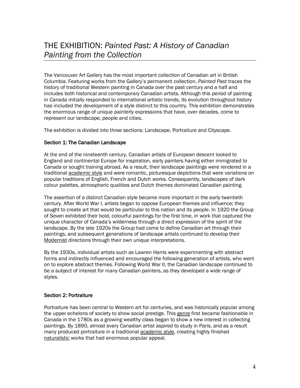The Vancouver Art Gallery has the most important collection of Canadian art in British Columbia. Featuring works from the Gallery's permanent collection, *Painted Past* traces the history of traditional Western painting in Canada over the past century and a half and includes both historical and contemporary Canadian artists. Although this period of painting in Canada initially responded to international artistic trends, its evolution throughout history has included the development of a style distinct to this country. This exhibition demonstrates the enormous range of unique painterly expressions that have, over decades, come to represent our landscape, people and cities.

The exhibition is divided into three sections: Landscape, Portraiture and Cityscape.

### Section 1: The Canadian Landscape

At the end of the nineteenth century, Canadian artists of European descent looked to England and continental Europe for inspiration, early painters having either immigrated to Canada or sought training abroad. As a result, their landscape paintings were rendered in a traditional academic style and were romantic, picturesque depictions that were variations on popular traditions of English, French and Dutch works. Consequently, landscapes of dark colour palettes, atmospheric qualities and Dutch themes dominated Canadian painting.

The assertion of a distinct Canadian style became more important in the early twentieth century. After World War I, artists began to oppose European themes and influence; they sought to create art that would be particular to this nation and its people. In 1920 the Group of Seven exhibited their bold, colourful paintings for the first time, in work that captured the unique character of Canada's wilderness through a direct expression of the spirit of the landscape. By the late 1920s the Group had come to define Canadian art through their paintings, and subsequent generations of landscape artists continued to develop their Modernist directions through their own unique interpretations.

By the 1930s, individual artists such as Lawren Harris were experimenting with abstract forms and indirectly influenced and encouraged the following generation of artists, who went on to explore abstract themes. Following World War II, the Canadian landscape continued to be a subject of interest for many Canadian painters, as they developed a wide range of styles.

### Section 2: Portraiture

Portraiture has been central to Western art for centuries, and was historically popular among the upper echelons of society to show social prestige. This genre first became fashionable in Canada in the 1780s as a growing wealthy class began to show a new interest in collecting paintings. By 1890, almost every Canadian artist aspired to study in Paris, and as a result many produced portraiture in a traditional academic style, creating highly finished naturalistic works that had enormous popular appeal.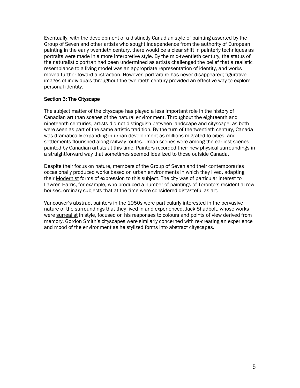Eventually, with the development of a distinctly Canadian style of painting asserted by the Group of Seven and other artists who sought independence from the authority of European painting in the early twentieth century, there would be a clear shift in painterly techniques as portraits were made in a more interpretive style. By the mid-twentieth century, the status of the naturalistic portrait had been undermined as artists challenged the belief that a realistic resemblance to a living model was an appropriate representation of identity, and works moved further toward abstraction. However, portraiture has never disappeared; figurative images of individuals throughout the twentieth century provided an effective way to explore personal identity.

### Section 3: The Cityscape

The subject matter of the cityscape has played a less important role in the history of Canadian art than scenes of the natural environment. Throughout the eighteenth and nineteenth centuries, artists did not distinguish between landscape and cityscape, as both were seen as part of the same artistic tradition. By the turn of the twentieth century, Canada was dramatically expanding in urban development as millions migrated to cities, and settlements flourished along railway routes. Urban scenes were among the earliest scenes painted by Canadian artists at this time. Painters recorded their new physical surroundings in a straightforward way that sometimes seemed idealized to those outside Canada.

Despite their focus on nature, members of the Group of Seven and their contemporaries occasionally produced works based on urban environments in which they lived, adapting their Modernist forms of expression to this subject. The city was of particular interest to Lawren Harris, for example, who produced a number of paintings of Toronto's residential row houses, ordinary subjects that at the time were considered distasteful as art.

Vancouver's abstract painters in the 1950s were particularly interested in the pervasive nature of the surroundings that they lived in and experienced. Jack Shadbolt, whose works were surrealist in style, focused on his responses to colours and points of view derived from memory. Gordon Smith's cityscapes were similarly concerned with re-creating an experience and mood of the environment as he stylized forms into abstract cityscapes.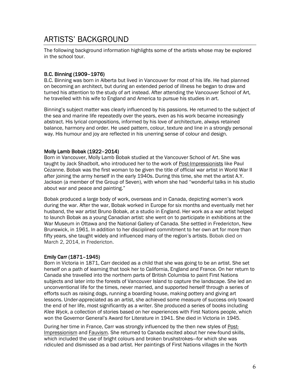### ARTISTS' BACKGROUND

The following background information highlights some of the artists whose may be explored in the school tour.

### B.C. Binning (1909–1976)

B.C. Binning was born in Alberta but lived in Vancouver for most of his life. He had planned on becoming an architect, but during an extended period of illness he began to draw and turned his attention to the study of art instead. After attending the Vancouver School of Art, he travelled with his wife to England and America to pursue his studies in art.

Binning's subject matter was clearly influenced by his passions. He returned to the subject of the sea and marine life repeatedly over the years, even as his work became increasingly abstract. His lyrical compositions, informed by his love of architecture, always retained balance, harmony and order. He used pattern, colour, texture and line in a strongly personal way. His humour and joy are reflected in his unerring sense of colour and design.

### Molly Lamb Bobak (1922–2014)

Born in Vancouver, Molly Lamb Bobak studied at the Vancouver School of Art. She was taught by Jack Shadbolt, who introduced her to the work of Post-Impressionists like Paul Cezanne. Bobak was the first woman to be given the title of official war artist in World War II after joining the army herself in the early 1940s. During this time, she met the artist A.Y. Jackson (a member of the Group of Seven), with whom she had "wonderful talks in his studio about war and peace and painting."

Bobak produced a large body of work, overseas and in Canada, depicting women's work during the war. After the war, Bobak worked in Europe for six months and eventually met her husband, the war artist Bruno Bobak, at a studio in England. Her work as a war artist helped to launch Bobak as a young Canadian artist: she went on to participate in exhibitions at the War Museum in Ottawa and the National Gallery of Canada. She settled in Fredericton, New Brunswick, in 1961. In addition to her disciplined commitment to her own art for more than fifty years, she taught widely and influenced many of the region's artists. Bobak died on March 2, 2014, in Fredericton.

### Emily Carr (1871–1945)

Born in Victoria in 1871, Carr decided as a child that she was going to be an artist. She set herself on a path of learning that took her to California, England and France. On her return to Canada she travelled into the northern parts of British Columbia to paint First Nations subjects and later into the forests of Vancouver Island to capture the landscape. She led an unconventional life for the times, never married, and supported herself through a series of efforts such as raising dogs, running a boarding house, making pottery and giving art lessons. Under-appreciated as an artist, she achieved some measure of success only toward the end of her life, most significantly as a writer. She produced a series of books including *Klee Wyck*, a collection of stories based on her experiences with First Nations people, which won the Governor General's Award for Literature in 1941. She died in Victoria in 1945.

During her time in France, Carr was strongly influenced by the then new styles of Post-Impressionism and Fauvism. She returned to Canada excited about her new-found skills, which included the use of bright colours and broken brushstrokes—for which she was ridiculed and dismissed as a bad artist. Her paintings of First Nations villages in the North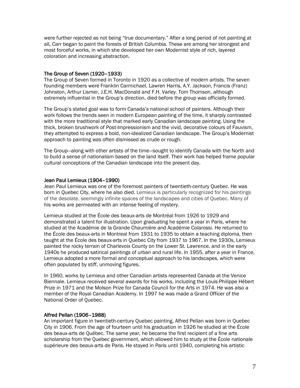were further rejected as not being "true documentary." After a long period of not painting at all, Carr began to paint the forests of British Columbia. These are among her strongest and most forceful works, in which she developed her own Modernist style of rich, layered coloration and increasing abstraction.

### The Group of Seven (1920–1933)

The Group of Seven formed in Toronto in 1920 as a collective of modern artists. The seven founding members were Franklin Carmichael, Lawren Harris, A.Y. Jackson, Francis (Franz) Johnston, Arthur Lismer, J.E.H. MacDonald and F.H. Varley. Tom Thomson, although extremely influential in the Group's direction, died before the group was officially formed.

The Group's stated goal was to form Canada's national school of painters. Although their work follows the trends seen in modern European painting of the time, it sharply contrasted with the more traditional style that marked early Canadian landscape painting. Using the thick, broken brushwork of Post-Impressionism and the vivid, decorative colours of Fauvism, they attempted to express a bold, non-idealized Canadian landscape. The Group's Modernist approach to painting was often dismissed as crude or rough.

The Group—along with other artists of the time—sought to identify Canada with the North and to build a sense of nationalism based on the land itself. Their work has helped frame popular cultural conceptions of the Canadian landscape into the present day.

### Jean Paul Lemieux (1904–1990)

Jean Paul Lemieux was one of the foremost painters of twentieth-century Quebec. He was born in Quebec City, where he also died. Lemieux is particularly recognized for his paintings of the desolate, seemingly infinite spaces of the landscapes and cities of Quebec. Many of his works are permeated with an intense feeling of mystery.

Lemieux studied at the École des beaux-arts de Montréal from 1926 to 1929 and demonstrated a talent for illustration. Upon graduating he spent a year in Paris, where he studied at the Académie de la Grande Chaumière and Académie Colarossi. He returned to the École des beaux-arts in Montreal from 1931 to 1935 to obtain a teaching diploma, then taught at the École des beaux-arts in Quebec City from 1937 to 1967. In the 1930s, Lemieux painted the rocky terrain of Charlevoix County on the Lower St. Lawrence, and in the early 1940s he produced satirical paintings of urban and rural life. In 1955, after a year in France, Lemieux adopted a more formal and conceptual approach to his landscapes, which were often populated by stiff, unmoving figures.

In 1960, works by Lemieux and other Canadian artists represented Canada at the Venice Biennale. Lemieux received several awards for his works, including the Louis-Philippe Hébert Prize in 1971 and the Molson Prize for Canada Council for the Arts in 1974. He was also a member of the Royal Canadian Academy. In 1997 he was made a Grand Officer of the National Order of Quebec.

### Alfred Pellan (1906–1988)

An important figure in twentieth-century Quebec painting, Alfred Pellan was born in Quebec City in 1906. From the age of fourteen until his graduation in 1926 he studied at the École des beaux-arts de Québec. The same year, he became the first recipient of a fine arts scholarship from the Quebec government, which allowed him to study at the École nationale supérieure des beaux-arts de Paris. He stayed in Paris until 1940, completing his artistic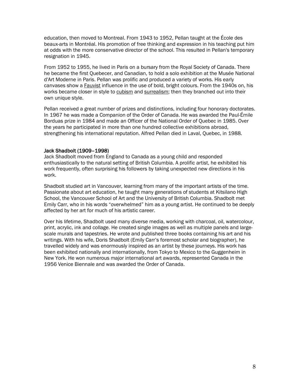education, then moved to Montreal. From 1943 to 1952, Pellan taught at the École des beaux-arts in Montréal. His promotion of free thinking and expression in his teaching put him at odds with the more conservative director of the school. This resulted in Pellan's temporary resignation in 1945.

From 1952 to 1955, he lived in Paris on a bursary from the Royal Society of Canada. There he became the first Quebecer, and Canadian, to hold a solo exhibition at the Musée National d'Art Moderne in Paris. Pellan was prolific and produced a variety of works. His early canvases show a Fauvist influence in the use of bold, bright colours. From the 1940s on, his works became closer in style to cubism and surrealism; then they branched out into their own unique style.

Pellan received a great number of prizes and distinctions, including four honorary doctorates. In 1967 he was made a Companion of the Order of Canada. He was awarded the Paul-Émile Borduas prize in 1984 and made an Officer of the National Order of Quebec in 1985. Over the years he participated in more than one hundred collective exhibitions abroad, strengthening his international reputation. Alfred Pellan died in Laval, Quebec, in 1988.

#### Jack Shadbolt (1909–1998)

Jack Shadbolt moved from England to Canada as a young child and responded enthusiastically to the natural setting of British Columbia. A prolific artist, he exhibited his work frequently, often surprising his followers by taking unexpected new directions in his work.

Shadbolt studied art in Vancouver, learning from many of the important artists of the time. Passionate about art education, he taught many generations of students at Kitsilano High School, the Vancouver School of Art and the University of British Columbia. Shadbolt met Emily Carr, who in his words "overwhelmed" him as a young artist. He continued to be deeply affected by her art for much of his artistic career.

Over his lifetime, Shadbolt used many diverse media, working with charcoal, oil, watercolour, print, acrylic, ink and collage. He created single images as well as multiple panels and largescale murals and tapestries. He wrote and published three books containing his art and his writings. With his wife, Doris Shadbolt (Emily Carr's foremost scholar and biographer), he travelled widely and was enormously inspired as an artist by these journeys. His work has been exhibited nationally and internationally, from Tokyo to Mexico to the Guggenheim in New York. He won numerous major international art awards, represented Canada in the 1956 Venice Biennale and was awarded the Order of Canada.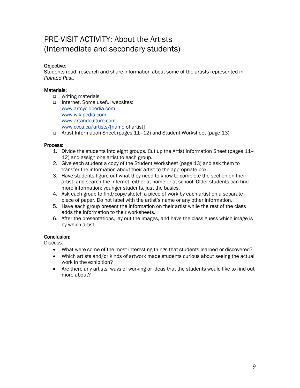### PRE-VISIT ACTIVITY: About the Artists (Intermediate and secondary students)

### Objective:

Students read, research and share information about some of the artists represented in *Painted Past.*

### Materials:

- writing materials
- □ Internet. Some useful websites: [www.artcyclopedia.com](http://www.artcyclopedia.com/) [www.wikipedia.com](http://www.wikipedia.com/) [www.artandculture.com](http://www.artandculture.com/) [www.ccca.ca/artists/\[name](http://www.ccca.ca/artists/%5bname) of artist]
- Artist Information Sheet (pages 11–12) and Student Worksheet (page 13)

### Process:

- 1. Divide the students into eight groups. Cut up the Artist Information Sheet (pages 11– 12) and assign one artist to each group.
- 2. Give each student a copy of the Student Worksheet (page 13) and ask them to transfer the information about their artist to the appropriate box.
- 3. Have students figure out what they need to know to complete the section on their artist, and search the Internet, either at home or at school. Older students can find more information; younger students, just the basics.
- 4. Ask each group to find/copy/sketch a piece of work by each artist on a separate piece of paper. Do not label with the artist's name or any other information.
- 5. Have each group present the information on their artist while the rest of the class adds the information to their worksheets.
- 6. After the presentations, lay out the images, and have the class guess which image is by which artist.

### Conclusion:

Discuss:

- What were some of the most interesting things that students learned or discovered?
- Which artists and/or kinds of artwork made students curious about seeing the actual work in the exhibition?
- Are there any artists, ways of working or ideas that the students would like to find out more about?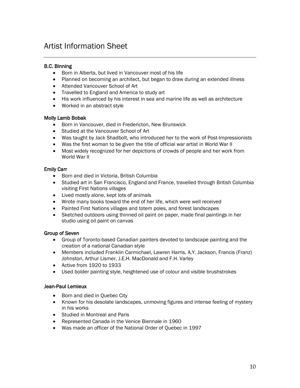### Artist Information Sheet

### B.C. Binning

- Born in Alberta, but lived in Vancouver most of his life
- Planned on becoming an architect, but began to draw during an extended illness
- Attended Vancouver School of Art
- Travelled to England and America to study art
- His work influenced by his interest in sea and marine life as well as architecture
- Worked in an abstract style

### Molly Lamb Bobak

- Born in Vancouver, died in Fredericton, New Brunswick
- Studied at the Vancouver School of Art
- Was taught by Jack Shadbolt, who introduced her to the work of Post-Impressionists
- Was the first woman to be given the title of official war artist in World War II
- Most widely recognized for her depictions of crowds of people and her work from World War II

### Emily Carr

- Born and died in Victoria, British Columbia
- Studied art in San Francisco, England and France, travelled through British Columbia visiting First Nations villages
- Lived mostly alone, kept lots of animals
- Wrote many books toward the end of her life, which were well received
- Painted First Nations villages and totem poles, and forest landscapes
- Sketched outdoors using thinned oil paint on paper, made final paintings in her studio using oil paint on canvas

### Group of Seven

- Group of Toronto-based Canadian painters devoted to landscape painting and the creation of a national Canadian style
- Members included Franklin Carmichael, Lawren Harris, A.Y. Jackson, Francis (Franz) Johnston, Arthur Lismer, J.E.H. MacDonald and F.H. Varley
- Active from 1920 to 1933
- Used bolder painting style, heightened use of colour and visible brushstrokes

### Jean-Paul Lemieux

- Born and died in Quebec City
- Known for his desolate landscapes, unmoving figures and intense feeling of mystery in his works
- Studied in Montreal and Paris
- Represented Canada in the Venice Biennale in 1960
- Was made an officer of the National Order of Quebec in 1997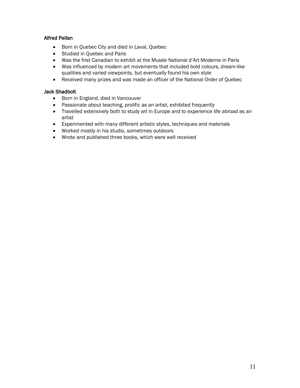### Alfred Pellan

- Born in Quebec City and died in Laval, Quebec
- Studied in Quebec and Paris
- Was the first Canadian to exhibit at the Musée National d'Art Moderne in Paris
- Was influenced by modern art movements that included bold colours, dream-like qualities and varied viewpoints, but eventually found his own style
- Received many prizes and was made an officer of the National Order of Quebec

### Jack Shadbolt

- Born in England, died in Vancouver
- Passionate about teaching, prolific as an artist, exhibited frequently
- Travelled extensively both to study art in Europe and to experience life abroad as an artist
- Experimented with many different artistic styles, techniques and materials
- Worked mostly in his studio, sometimes outdoors
- Wrote and published three books, which were well received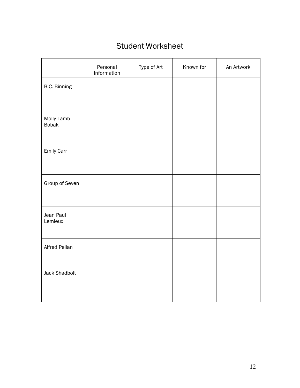## Student Worksheet

|                            | Personal<br>Information | Type of Art | Known for | An Artwork |
|----------------------------|-------------------------|-------------|-----------|------------|
| B.C. Binning               |                         |             |           |            |
| Molly Lamb<br><b>Bobak</b> |                         |             |           |            |
| <b>Emily Carr</b>          |                         |             |           |            |
| Group of Seven             |                         |             |           |            |
| Jean Paul<br>Lemieux       |                         |             |           |            |
| Alfred Pellan              |                         |             |           |            |
| <b>Jack Shadbolt</b>       |                         |             |           |            |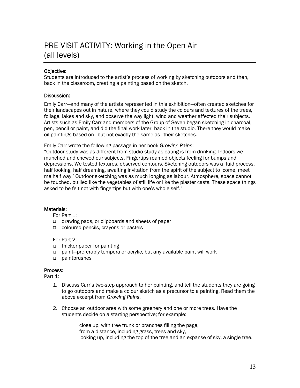## PRE-VISIT ACTIVITY: Working in the Open Air (all levels)

### Objective:

Students are introduced to the artist's process of working by sketching outdoors and then, back in the classroom, creating a painting based on the sketch.

### Discussion:

Emily Carr—and many of the artists represented in this exhibition—often created sketches for their landscapes out in nature, where they could study the colours and textures of the trees, foliage, lakes and sky, and observe the way light, wind and weather affected their subjects. Artists such as Emily Carr and members of the Group of Seven began sketching in charcoal, pen, pencil or paint, and did the final work later, back in the studio. There they would make oil paintings based on—but not exactly the same as—their sketches.

Emily Carr wrote the following passage in her book *Growing Pains*:

"Outdoor study was as different from studio study as eating is from drinking. Indoors we munched and chewed our subjects. Fingertips roamed objects feeling for bumps and depressions. We tested textures, observed contours. Sketching outdoors was a fluid process, half looking, half dreaming, awaiting invitation from the spirit of the subject to 'come, meet me half way.' Outdoor sketching was as much longing as labour. Atmosphere, space cannot be touched, bullied like the vegetables of still life or like the plaster casts. These space things asked to be felt not with fingertips but with one's whole self."

### Materials:

For Part 1:

- □ drawing pads, or clipboards and sheets of paper
- coloured pencils, crayons or pastels

For Part 2:

- thicker paper for painting
- paint—preferably tempera or acrylic, but any available paint will work
- paintbrushes

#### Process:

Part 1:

- 1. Discuss Carr's two-step approach to her painting, and tell the students they are going to go outdoors and make a colour sketch as a precursor to a painting. Read them the above excerpt from *Growing Pains*.
- 2. Choose an outdoor area with some greenery and one or more trees. Have the students decide on a starting perspective; for example:

close up, with tree trunk or branches filling the page, from a distance, including grass, trees and sky, looking up, including the top of the tree and an expanse of sky, a single tree.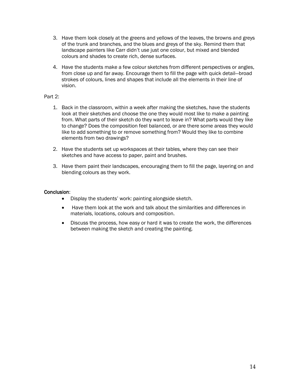- 3. Have them look closely at the greens and yellows of the leaves, the browns and greys of the trunk and branches, and the blues and greys of the sky. Remind them that landscape painters like Carr didn't use just one colour, but mixed and blended colours and shades to create rich, dense surfaces.
- 4. Have the students make a few colour sketches from different perspectives or angles, from close up and far away. Encourage them to fill the page with quick detail—broad strokes of colours, lines and shapes that include all the elements in their line of vision.

### Part 2:

- 1. Back in the classroom, within a week after making the sketches, have the students look at their sketches and choose the one they would most like to make a painting from. What parts of their sketch do they want to leave in? What parts would they like to change? Does the composition feel balanced, or are there some areas they would like to add something to or remove something from? Would they like to combine elements from two drawings?
- 2. Have the students set up workspaces at their tables, where they can see their sketches and have access to paper, paint and brushes.
- 3. Have them paint their landscapes, encouraging them to fill the page, layering on and blending colours as they work.

### Conclusion:

- Display the students' work: painting alongside sketch.
- Have them look at the work and talk about the similarities and differences in materials, locations, colours and composition.
- Discuss the process, how easy or hard it was to create the work, the differences between making the sketch and creating the painting.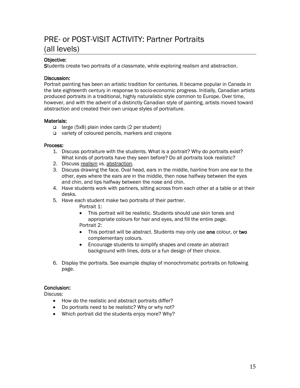### PRE- or POST-VISIT ACTIVITY: Partner Portraits (all levels)

### Objective:

Students create two portraits of a classmate, while exploring realism and abstraction.

### Discussion:

Portrait painting has been an artistic tradition for centuries. It became popular in Canada in the late eighteenth century in response to socio-economic progress. Initially, Canadian artists produced portraits in a traditional, highly naturalistic style common to Europe. Over time, however, and with the advent of a distinctly Canadian style of painting, artists moved toward abstraction and created their own unique styles of portraiture.

### Materials:

- large (5x8) plain index cards (2 per student)
- variety of coloured pencils, markers and crayons

### Process:

- 1. Discuss portraiture with the students. What is a portrait? Why do portraits exist? What kinds of portraits have they seen before? Do all portraits look realistic?
- 2. Discuss realism vs. abstraction.
- 3. Discuss drawing the face. Oval head, ears in the middle, hairline from one ear to the other, eyes where the ears are in the middle, then nose halfway between the eyes and chin, and lips halfway between the nose and chin.
- 4. Have students work with partners, sitting across from each other at a table or at their desks.
- 5. Have each student make two portraits of their partner.

Portrait 1:

- This portrait will be realistic. Students should use skin tones and appropriate colours for hair and eyes, and fill the entire page. Portrait 2:
- This portrait will be abstract. Students may only use one colour, or two complementary colours.
- Encourage students to simplify shapes and create an abstract background with lines, dots or a fun design of their choice.
- 6. Display the portraits. See example display of monochromatic portraits on following page.

### Conclusion:

Discuss:

- How do the realistic and abstract portraits differ?
- Do portraits need to be realistic? Why or why not?
- Which portrait did the students enjoy more? Why?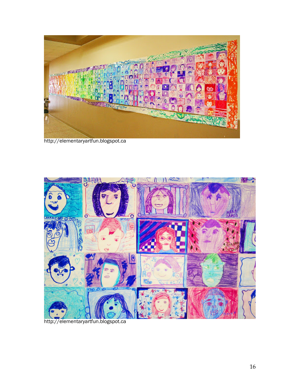

http://elementaryartfun.blogspot.ca



http://elementaryartfun.blogspot.ca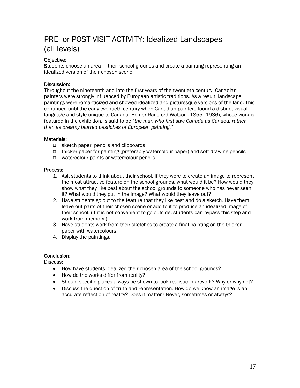### PRE- or POST-VISIT ACTIVITY: Idealized Landscapes (all levels)

### Objective:

Students choose an area in their school grounds and create a painting representing an idealized version of their chosen scene.

### Discussion:

Throughout the nineteenth and into the first years of the twentieth century, Canadian painters were strongly influenced by European artistic traditions. As a result, landscape paintings were romanticized and showed idealized and picturesque versions of the land. This continued until the early twentieth century when Canadian painters found a distinct visual language and style unique to Canada. Homer Ransford Watson (1855–1936), whose work is featured in the exhibition, is said to be *"the man who first saw Canada as Canada, rather than as dreamy blurred pastiches of European painting."*

### Materials:

- sketch paper, pencils and clipboards
- thicker paper for painting (preferably watercolour paper) and soft drawing pencils
- □ watercolour paints or watercolour pencils

### Process:

- 1. Ask students to think about their school. If they were to create an image to represent the most attractive feature on the school grounds, what would it be? How would they show what they like best about the school grounds to someone who has never seen it? What would they put in the image? What would they leave out?
- 2. Have students go out to the feature that they like best and do a sketch. Have them leave out parts of their chosen scene or add to it to produce an idealized image of their school. (If it is not convenient to go outside, students can bypass this step and work from memory.)
- 3. Have students work from their sketches to create a final painting on the thicker paper with watercolours.
- 4. Display the paintings.

### Conclusion:

Discuss:

- How have students idealized their chosen area of the school grounds?
- How do the works differ from reality?
- Should specific places always be shown to look realistic in artwork? Why or why not?
- Discuss the question of truth and representation. How do we know an image is an accurate reflection of reality? Does it matter? Never, sometimes or always?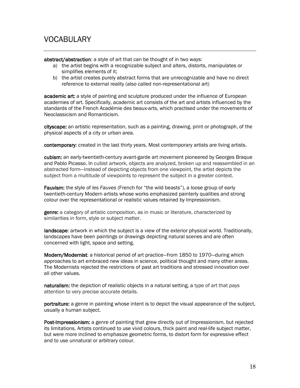### VOCABULARY

abstract/abstraction: a style of art that can be thought of in two ways:

- a) the artist begins with a recognizable subject and alters, distorts, manipulates or simplifies elements of it;
- b) the artist creates purely abstract forms that are unrecognizable and have no direct reference to external reality (also called non-representational art)

academic art: a style of [painting](http://en.wikipedia.org/wiki/Painting) and [sculpture](http://en.wikipedia.org/wiki/Sculpture) produced under the influence of European [academies of art.](http://en.wikipedia.org/wiki/Academies_of_art) Specifically, academic art consists of the art and artists influenced by the standards of the Frenc[h Académie des beaux-arts,](http://en.wikipedia.org/wiki/Acad%C3%A9mie_des_Beaux-Arts) which practised under the movements of [Neoclassicism](http://en.wikipedia.org/wiki/Neoclassicism) and [Romanticism.](http://en.wikipedia.org/wiki/Romanticism)

cityscape: an artistic representation, such as a [painting,](http://en.wikipedia.org/wiki/Painting) [drawing,](http://en.wikipedia.org/wiki/Drawing) [print](http://en.wikipedia.org/wiki/Publishing) or [photograph,](http://en.wikipedia.org/wiki/Photograph) of the physical aspects of a [city](http://en.wikipedia.org/wiki/City) or urban area.

contemporary: created in the last thirty years. Most contemporary artists are living artists.

cubism: an early-twentieth-century [avant-garde](http://en.wikipedia.org/wiki/Avant-garde) [art movement](http://en.wikipedia.org/wiki/Art_movement) pioneered by [Georges Braque](http://en.wikipedia.org/wiki/Georges_Braque) and [Pablo Picasso.](http://en.wikipedia.org/wiki/Pablo_Picasso) In cubist artwork, objects are analyzed, broken up and reassembled in an abstracted form—instead of depicting objects from one viewpoint, the artist depicts the subject from a multitude of viewpoints to represent the subject in a greater context.

Fauvism: the style of *les Fauves* [\(French](http://en.wikipedia.org/wiki/French_language) for "the wild beasts"), a loose group of early twentieth-century [Modern artists](http://en.wikipedia.org/wiki/Modern_art) whose works emphasized [painterly](http://en.wikipedia.org/wiki/Painterly) qualities and strong colour over the [representational](http://en.wikipedia.org/wiki/Representation_(arts)) or [realistic](http://en.wikipedia.org/wiki/Realism_(visual_arts)) values retained by [Impressionism.](http://en.wikipedia.org/wiki/Impressionism)

genre: a category of artistic composition, as in music or literature, characterized by similarities in form, style or subject matter.

landscape: artwork in which the subject is a view of the exterior physical world. Traditionally, landscapes have been paintings or drawings depicting natural scenes and are often concerned with light, space and setting.

Modern/Modernist: a historical period of art practice—from 1850 to 1970—during which approaches to art embraced new ideas in science, political thought and many other areas. The Modernists rejected the restrictions of past art traditions and stressed innovation over all other values.

naturalism: the [depiction](http://simple.wiktionary.org/wiki/depiction) of [realistic](http://simple.wiktionary.org/wiki/realistic) objects in a natural setting, a type of art that pays attention to very precise accurate details.

portraiture: a [genre](http://en.wikipedia.org/wiki/Hierarchy_of_genres) in [painting](http://en.wikipedia.org/wiki/Painting) whose intent is to depict the visual appearance of the subject, usually a human subject.

Post-Impressionism: a genre of painting that grew directly out of Impressionism, but rejected its limitations. Artists continued to use vivid colours, thick paint and real-life subject matter, but were more inclined to emphasize geometric forms, to distort form for expressive effect and to use unnatural or arbitrary colour.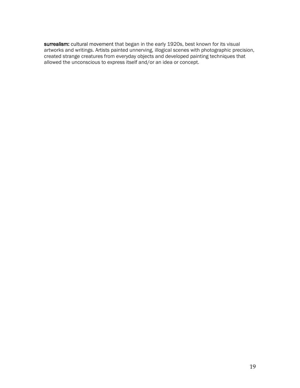surrealism: [cultural movement](http://en.wikipedia.org/wiki/Cultural_movement) that began in the early 1920s, best known for its visual artworks and writings. Artists painted unnerving, illogical scenes with photographic precision, created strange creatures from everyday objects and developed painting techniques that allowed the unconscious to express itself and/or an idea or concept.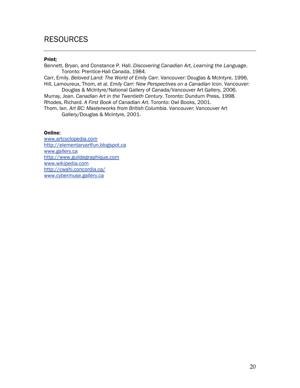### **RESOURCES**

#### Print:

Bennett, Bryan, and Constance P. Hall. *Discovering Canadian Art, Learning the Language*. Toronto: Prentice-Hall Canada, 1984.

Carr, Emily. *Beloved Land: The World of Emily Carr*. Vancouver: Douglas & McIntyre, 1996. Hill, Lamoureux, Thom, et al. *Emily Carr: New Perspectives on a Canadian Icon*. Vancouver:

Douglas & McIntyre/National Gallery of Canada/Vancouver Art Gallery, 2006. Murray, Joan. *Canadian Art in the Twentieth Century*. Toronto: Dundurn Press, 1998. Rhodes, Richard. *A First Book of Canadian Art.* Toronto: Owl Books, 2001.

Thom, Ian. *Art BC: Masterworks from British Columbia*. Vancouver: Vancouver Art Gallery/Douglas & McIntyre, 2001.

### Online:

[www.artcyclopedia.com](http://www.artcyclopedia.com/) [http://elementaryartfun.blogspot.ca](http://elementaryartfun.blogspot.ca/) [www.gallery.ca](http://www.gallery.ca/) [http://www.guildegraphique.com](http://www.guildegraphique.com/) [www.wikipedia.com](http://www.wikipedia.com/) <http://cwahi.concordia.ca/> [www.cybermuse.gallery.ca](http://www.cybermuse.gallery.ca/)